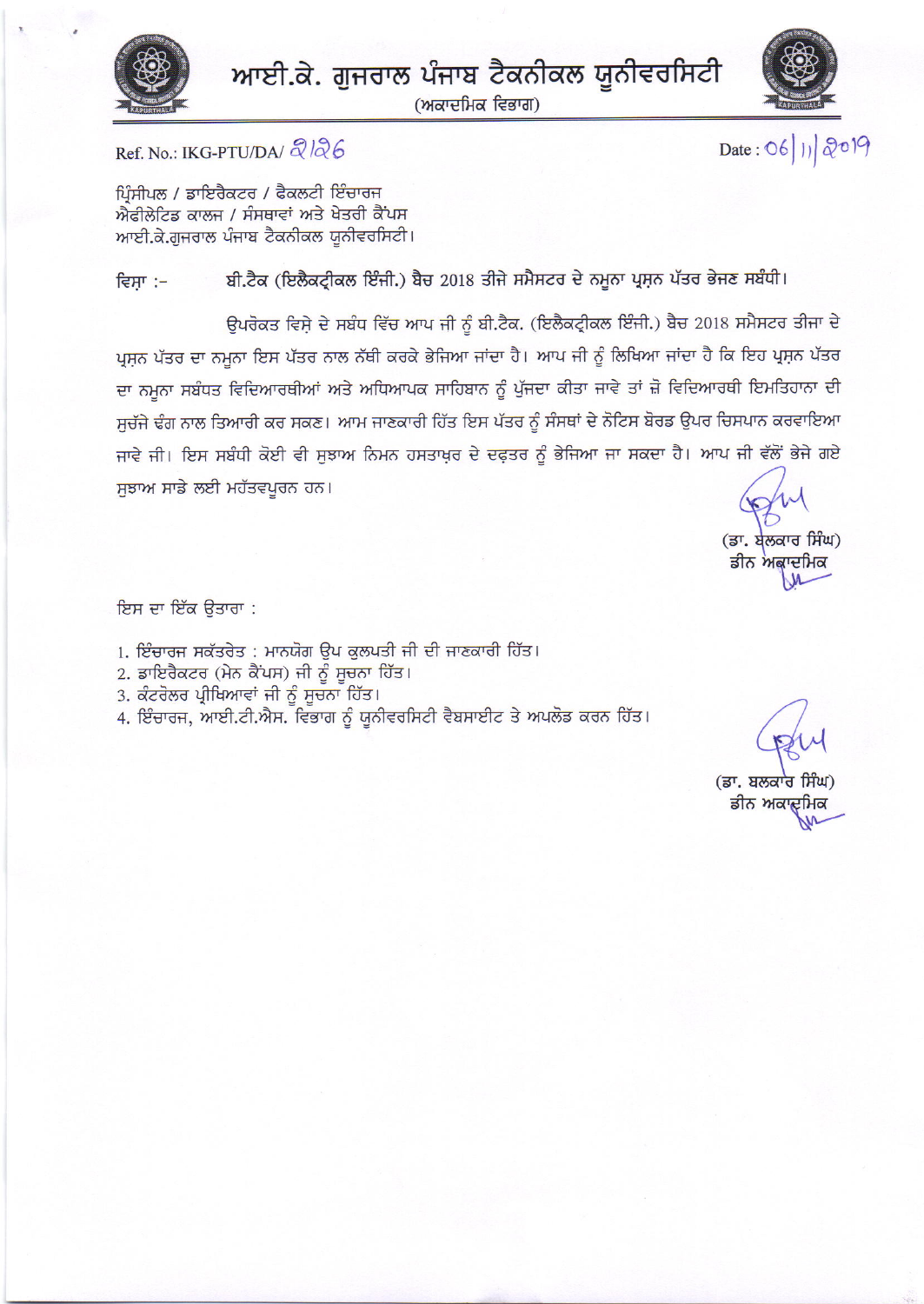



(ਅਕਾਦਮਿਕ ਵਿਭਾਗ)



Date: 06/11/2019

Ref. No.: IKG-PTU/DA/ $\alpha$ / $\alpha$ 6

ਪਿੰਸੀਪਲ / ਡਾਇਰੈਕਟਰ / ਫੈਕਲਟੀ ਇੰਚਾਰਜ ਐਫੀਲੇਟਿਡ ਕਾਲਜ / ਸੰਸਥਾਵਾਂ ਅਤੇ ਖੇਤਰੀ ਕੈਂਪਸ ਆਈ.ਕੇ.ਗੁਜਰਾਲ ਪੰਜਾਬ ਟੈਕਨੀਕਲ ਯੂਨੀਵਰਸਿਟੀ।

ਬੀ.ਟੈਕ (ਇਲੈਕਟ੍ਰੀਕਲ ਇੰਜੀ.) ਬੈਚ 2018 ਤੀਜੇ ਸਮੈਸਟਰ ਦੇ ਨਮੂਨਾ ਪ੍ਰਸ਼ਨ ਪੱਤਰ ਭੇਜਣ ਸਬੰਧੀ। ਵਿਸਾ :-

ਉਪਰੋਕਤ ਵਿਸ਼ੇ ਦੇ ਸਬੰਧ ਵਿੱਚ ਆਪ ਜੀ ਨੂੰ ਬੀ.ਟੈਕ. (ਇਲੈਕਟ੍ਰੀਕਲ ਇੰਜੀ.) ਬੈਚ 2018 ਸਮੈਸਟਰ ਤੀਜਾ ਦੇ ਪੁਸਨ ਪੱਤਰ ਦਾ ਨਮੂਨਾ ਇਸ ਪੱਤਰ ਨਾਲ ਨੱਥੀ ਕਰਕੇ ਭੇਜਿਆ ਜਾਂਦਾ ਹੈ। ਆਪ ਜੀ ਨੂੰ ਲਿਖਿਆ ਜਾਂਦਾ ਹੈ ਕਿ ਇਹ ਪ੍ਰਸ਼ਨ ਪੱਤਰ ਦਾ ਨਮਨਾ ਸਬੰਧਤ ਵਿਦਿਆਰਥੀਆਂ ਅਤੇ ਅਧਿਆਪਕ ਸਾਹਿਬਾਨ ਨੂੰ ਪੁੱਜਦਾ ਕੀਤਾ ਜਾਵੇ ਤਾਂ ਜ਼ੋ ਵਿਦਿਆਰਥੀ ਇਮਤਿਹਾਨਾ ਦੀ ਸਚੱਜੇ ਢੰਗ ਨਾਲ ਤਿਆਰੀ ਕਰ ਸਕਣ। ਆਮ ਜਾਣਕਾਰੀ ਹਿੱਤ ਇਸ ਪੱਤਰ ਨੂੰ ਸੰਸਥਾਂ ਦੇ ਨੋਟਿਸ ਬੋਰਡ ਉਪਰ ਚਿਸਪਾਨ ਕਰਵਾਇਆ ਜਾਵੇ ਜੀ। ਇਸ ਸਬੰਧੀ ਕੋਈ ਵੀ ਸੁਝਾਅ ਨਿਮਨ ਹਸਤਾਖ਼ਰ ਦੇ ਦਫ਼ਤਰ ਨੂੰ ਭੇਜਿਆ ਜਾ ਸਕਦਾ ਹੈ। ਆਪ ਜੀ ਵੱਲੋਂ ਭੇਜੇ ਗਏ ਸੁਝਾਅ ਸਾਡੇ ਲਈ ਮਹੱਤਵਪੂਰਨ ਹਨ।

(ਡਾ. ਬੇਲਕਾਰ ਸਿੰਘ) ਡੀਨ ਅਕਾਦਮਿਕ

ਇਸ ਦਾ ਇੱਕ ਉਤਾਰਾ :

1. ਇੰਚਾਰਜ ਸਕੱਤਰੇਤ : ਮਾਨਯੋਗ ਉਪ ਕੁਲਪਤੀ ਜੀ ਦੀ ਜਾਣਕਾਰੀ ਹਿੱਤ।

- 2. ਡਾਇਰੈਕਟਰ (ਮੇਨ ਕੈਂਪਸ) ਜੀ ਨੂੰ ਸੂਚਨਾ ਹਿੱਤ।
- 3. ਕੰਟਰੋਲਰ ਪ੍ਰੀਖਿਆਵਾਂ ਜੀ ਨੂੰ ਸੂਚਨਾ ਹਿੱਤ।

4. ਇੰਚਾਰਜ, ਆਈ.ਟੀ.ਐਸ. ਵਿਭਾਗ ਨੂੰ ਯੂਨੀਵਰਸਿਟੀ ਵੈਬਸਾਈਟ ਤੇ ਅਪਲੋਡ ਕਰਨ ਹਿੱਤ।

(ਡਾ. ਬਲਕਾਰ ਸਿੰਘ) ਡੀਨ ਅਕਾਦਮਿਕ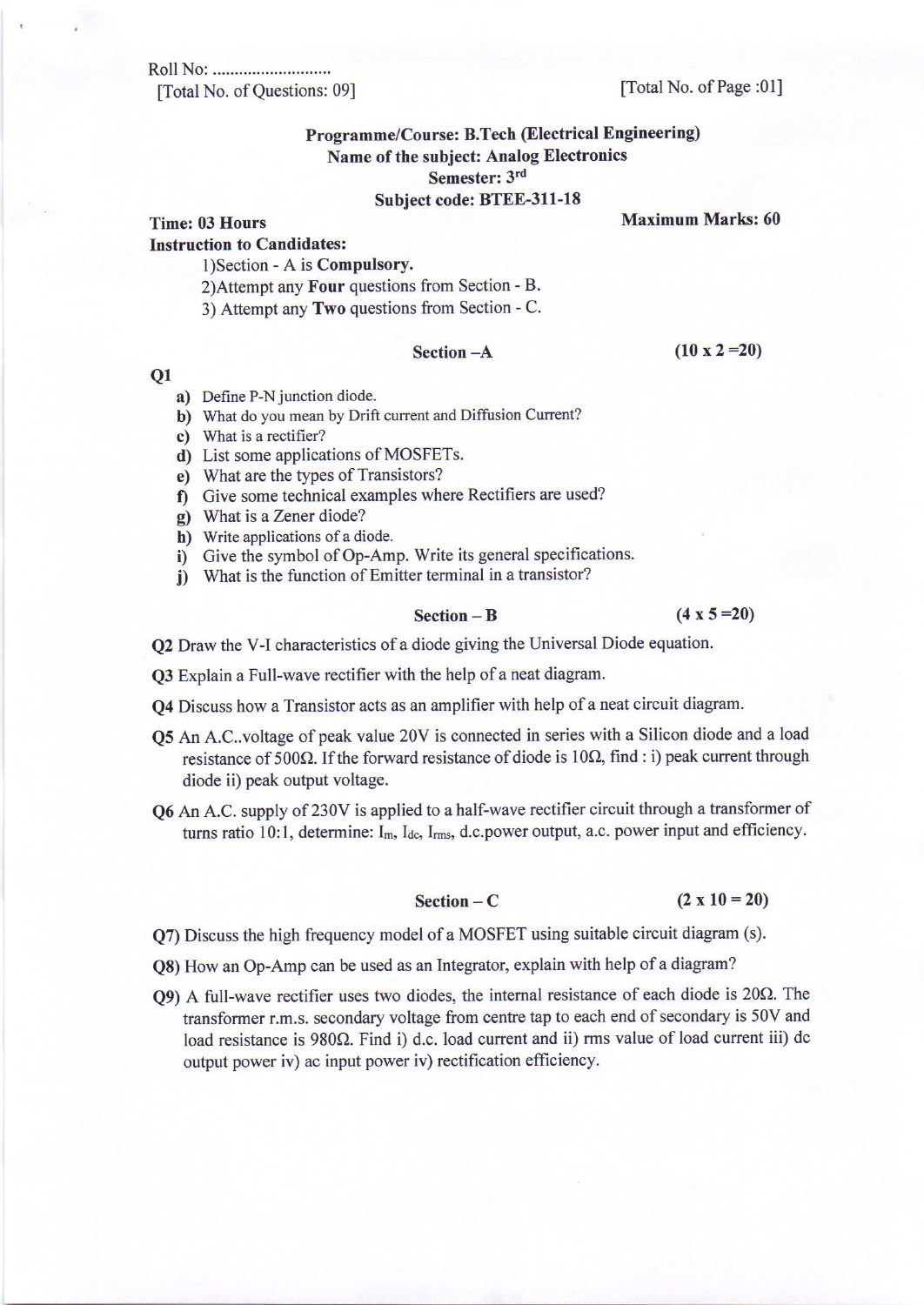Roll No: ............. [Total No. of Questions: 09] [Total No. of Page :01]

# Programme/Course: B.Tech (Electrical Engineering) Name of the subject: Analog Electronics Semester: 3rd

### Subject code: BTEE-31l-18

Time: 03 Hours Maximum Marks: 60

Instruction to Candidates:

1) Section - A is **Compulsory.** 

- 2)Attempt any Four questions from Section B.
- 3) Attempt any Two questions from Section C.

Section  $-A$  (10 x 2 = 20)

### Q1

- a) Define P-N junction diode.
- b) What do you mean by Drift current and Diffusion Current?
- c) What is a rectifier?
- d) List some applications of MOSFETs.
- e) What are the types of Transistors?
- f) Give some technical examples where Rectifiers are used?
- g) What is a Zener diode?
- h) Write applications of a diode.
- i) Give the symbol of Op-Amp. Write its general specifications.
- j) What is the function of Emitter terminal in a transistor?

### Section  $-B$  (4 x 5 = 20)

Q2 Draw the V-I characteristics of a diode giving the Universal Diode equation.

Q3 Explain a Full-wave rectifier with the help of a neat diagram.

Q4 Discuss how a Transistor acts as an amplifier with help of a neat circuit diagram.

- Q5 An A.C..voltage of peak value 20V is connected in series with a Silicon diode and a load resistance of 500 $\Omega$ . If the forward resistance of diode is 10 $\Omega$ , find : i) peak current through diode ii) peak output voltage.
- Q6 An A.C. supply of 230V is applied to a half-wave rectifier circuit through a transformer of turns ratio 10:1, determine: I<sub>m, Idc</sub>, I<sub>rms</sub>, d.c.power output, a.c. power input and efficiency.

## Section  $-C$   $(2 \times 10=20)$

Q7) Discuss the high frequency model ofa MOSFET using suitable circuit diagram (s).

- Q8) How an Op-Amp can be used as an Integrator, explain with help of a diagram?
- $Q9$ ) A full-wave rectifier uses two diodes, the internal resistance of each diode is  $20\Omega$ . The transformer r.m,s. secondary voltage fiom centre tap to each end of secondary is 50V and load resistance is  $980\Omega$ . Find i) d.c. load current and ii) rms value of load current iii) dc output power iv) ac input power iv) rectification efficiency.